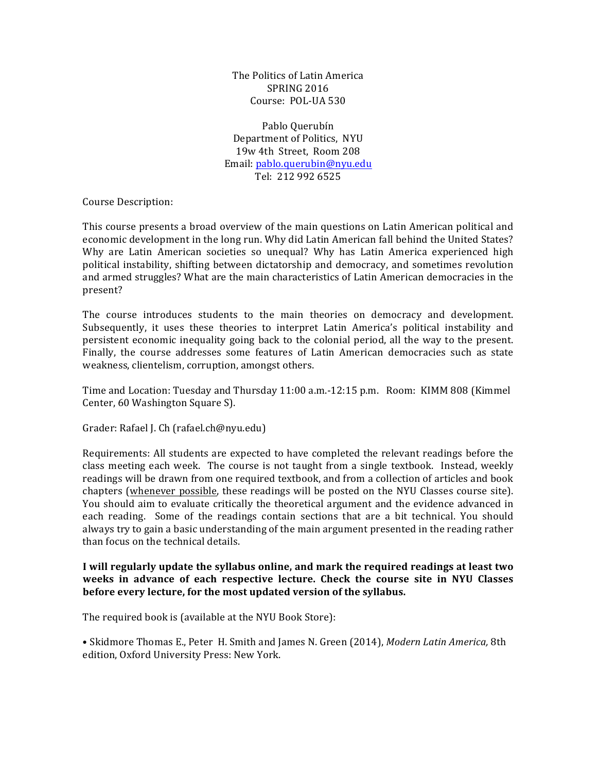The Politics of Latin America SPRING 2016 Course: POL-UA 530

Pablo Ouerubín Department of Politics, NYU 19w 4th Street, Room 208 Email: pablo.querubin@nyu.edu Tel: 212 992 6525

Course Description:

This course presents a broad overview of the main questions on Latin American political and economic development in the long run. Why did Latin American fall behind the United States? Why are Latin American societies so unequal? Why has Latin America experienced high political instability, shifting between dictatorship and democracy, and sometimes revolution and armed struggles? What are the main characteristics of Latin American democracies in the present?

The course introduces students to the main theories on democracy and development. Subsequently, it uses these theories to interpret Latin America's political instability and persistent economic inequality going back to the colonial period, all the way to the present. Finally, the course addresses some features of Latin American democracies such as state weakness, clientelism, corruption, amongst others.

Time and Location: Tuesday and Thursday 11:00 a.m.-12:15 p.m. Room: KIMM 808 (Kimmel Center, 60 Washington Square S).

Grader: Rafael J. Ch (rafael.ch@nyu.edu)

Requirements: All students are expected to have completed the relevant readings before the class meeting each week. The course is not taught from a single textbook. Instead, weekly readings will be drawn from one required textbook, and from a collection of articles and book chapters (whenever possible, these readings will be posted on the NYU Classes course site). You should aim to evaluate critically the theoretical argument and the evidence advanced in each reading. Some of the readings contain sections that are a bit technical. You should always try to gain a basic understanding of the main argument presented in the reading rather than focus on the technical details.

## **I** will regularly update the syllabus online, and mark the required readings at least two weeks in advance of each respective lecture. Check the course site in NYU Classes before every lecture, for the most updated version of the syllabus.

The required book is (available at the NYU Book Store):

• Skidmore Thomas E., Peter H. Smith and James N. Green (2014), *Modern Latin America*, 8th edition, Oxford University Press: New York.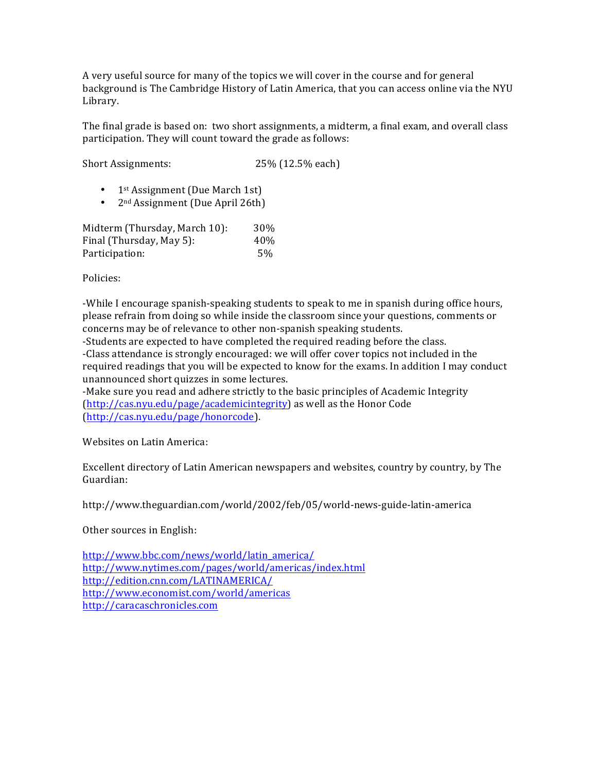A very useful source for many of the topics we will cover in the course and for general background is The Cambridge History of Latin America, that you can access online via the NYU Library.

The final grade is based on: two short assignments, a midterm, a final exam, and overall class participation. They will count toward the grade as follows:

Short Assignments: 25% (12.5% each)

- 1st Assignment (Due March 1st)
- $2<sup>nd</sup> Assignment (Due April 26th)$

| Midterm (Thursday, March 10): | 30 <sup>%</sup> |
|-------------------------------|-----------------|
| Final (Thursday, May 5):      | 40\%            |
| Participation:                | .5%             |

Policies:

-While I encourage spanish-speaking students to speak to me in spanish during office hours, please refrain from doing so while inside the classroom since your questions, comments or concerns may be of relevance to other non-spanish speaking students.

-Students are expected to have completed the required reading before the class. -Class attendance is strongly encouraged: we will offer cover topics not included in the required readings that you will be expected to know for the exams. In addition I may conduct unannounced short quizzes in some lectures.

-Make sure you read and adhere strictly to the basic principles of Academic Integrity  $(\text{http://cas.nyu.edu/page/academic integrity})$  as well as the Honor Code (http://cas.nyu.edu/page/honorcode).

Websites on Latin America:

Excellent directory of Latin American newspapers and websites, country by country, by The Guardian:

http://www.theguardian.com/world/2002/feb/05/world-news-guide-latin-america

Other sources in English:

http://www.bbc.com/news/world/latin\_america/ http://www.nytimes.com/pages/world/americas/index.html http://edition.cnn.com/LATINAMERICA/ http://www.economist.com/world/americas http://caracaschronicles.com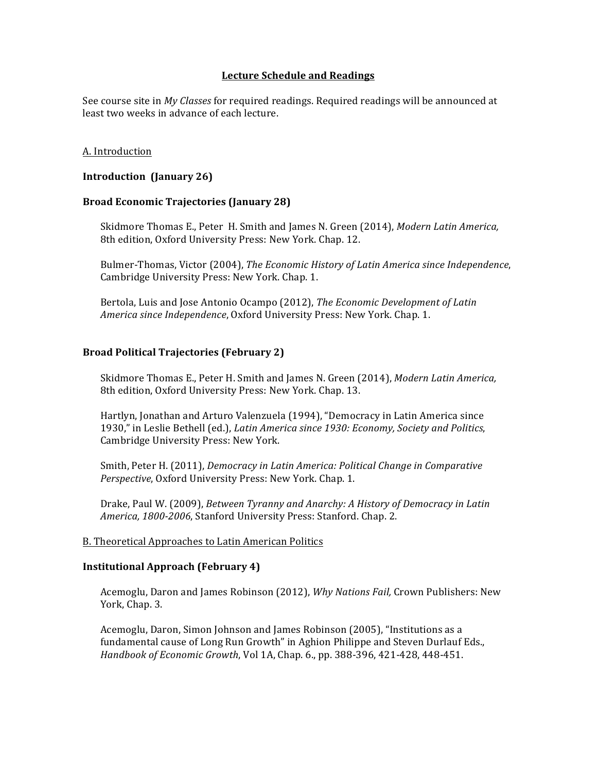# Lecture Schedule and Readings

See course site in *My Classes* for required readings. Required readings will be announced at least two weeks in advance of each lecture.

#### A. Introduction

#### **Introduction (January 26)**

#### **Broad Economic Trajectories (January 28)**

Skidmore Thomas E., Peter H. Smith and James N. Green (2014), *Modern Latin America*, 8th edition, Oxford University Press: New York. Chap. 12.

Bulmer-Thomas, Victor (2004), *The Economic History of Latin America since Independence*, Cambridge University Press: New York. Chap. 1.

Bertola, Luis and Jose Antonio Ocampo (2012), *The Economic Development of Latin America since Independence*, Oxford University Press: New York. Chap. 1.

#### **Broad Political Trajectories (February 2)**

Skidmore Thomas E., Peter H. Smith and James N. Green (2014), *Modern Latin America*, 8th edition, Oxford University Press: New York. Chap. 13.

Hartlyn, Jonathan and Arturo Valenzuela (1994), "Democracy in Latin America since 1930," in Leslie Bethell (ed.), *Latin America since 1930: Economy, Society and Politics*, Cambridge University Press: New York.

Smith, Peter H. (2011), *Democracy in Latin America: Political Change in Comparative Perspective*, Oxford University Press: New York. Chap. 1.

Drake, Paul W. (2009), *Between Tyranny and Anarchy: A History of Democracy in Latin America, 1800-2006, Stanford University Press: Stanford. Chap. 2.* 

#### B. Theoretical Approaches to Latin American Politics

## **Institutional Approach (February 4)**

Acemoglu, Daron and James Robinson (2012), *Why Nations Fail*, Crown Publishers: New York, Chap. 3.

Acemoglu, Daron, Simon Johnson and James Robinson (2005), "Institutions as a fundamental cause of Long Run Growth" in Aghion Philippe and Steven Durlauf Eds., *Handbook of Economic Growth, Vol 1A, Chap. 6., pp. 388-396, 421-428, 448-451.*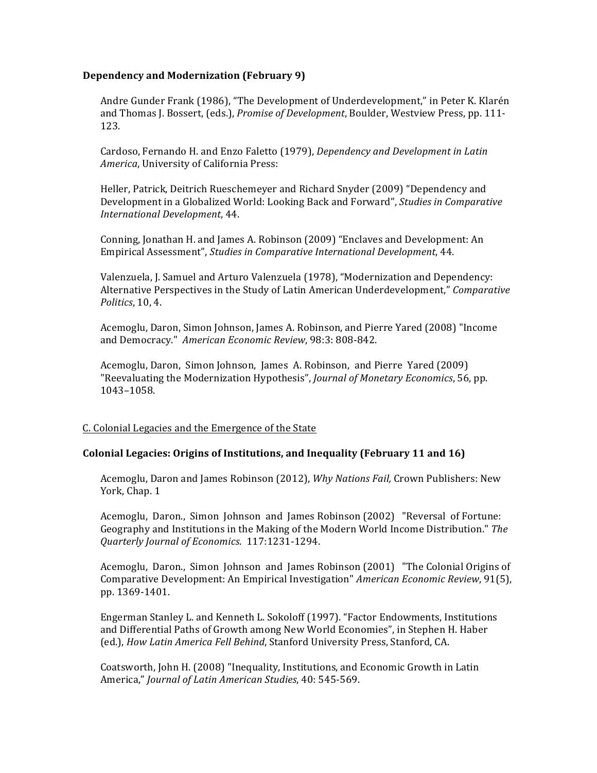# **Dependency and Modernization (February 9)**

Andre Gunder Frank (1986), "The Development of Underdevelopment," in Peter K. Klarén and Thomas J. Bossert, (eds.), *Promise of Development*, Boulder, Westview Press, pp. 111-123.

Cardoso, Fernando H. and Enzo Faletto (1979), *Dependency and Development in Latin* America, University of California Press:

Heller, Patrick, Deitrich Rueschemeyer and Richard Snyder (2009) "Dependency and Development in a Globalized World: Looking Back and Forward", *Studies in Comparative International Development*, 44.

Conning, Jonathan H. and James A. Robinson (2009) "Enclaves and Development: An Empirical Assessment", *Studies in Comparative International Development*, 44.

Valenzuela, J. Samuel and Arturo Valenzuela (1978), "Modernization and Dependency: Alternative Perspectives in the Study of Latin American Underdevelopment," *Comparative Politics*, 10, 4.

Acemoglu, Daron, Simon Johnson, James A. Robinson, and Pierre Yared (2008) "Income and Democracy." American Economic Review, 98:3: 808-842.

Acemoglu, Daron, Simon Johnson, James A. Robinson, and Pierre Yared (2009) "Reevaluating the Modernization Hypothesis", *Journal of Monetary Economics*, 56, pp. 1043–1058.

## C. Colonial Legacies and the Emergence of the State

#### **Colonial Legacies: Origins of Institutions, and Inequality (February 11 and 16)**

Acemoglu, Daron and James Robinson (2012), *Why Nations Fail*, Crown Publishers: New York, Chap. 1

Acemoglu, Daron., Simon Johnson and James Robinson (2002) "Reversal of Fortune: Geography and Institutions in the Making of the Modern World Income Distribution." The *Quarterly Journal of Economics*. 117:1231-1294.

Acemoglu, Daron., Simon Johnson and James Robinson (2001) "The Colonial Origins of Comparative Development: An Empirical Investigation" *American Economic Review*, 91(5), pp. 1369-1401.

Engerman Stanley L. and Kenneth L. Sokoloff (1997). "Factor Endowments, Institutions and Differential Paths of Growth among New World Economies", in Stephen H. Haber (ed.), *How Latin America Fell Behind*, Stanford University Press, Stanford, CA.

Coatsworth, John H. (2008) "Inequality, Institutions, and Economic Growth in Latin America," *Journal of Latin American Studies*, 40: 545-569.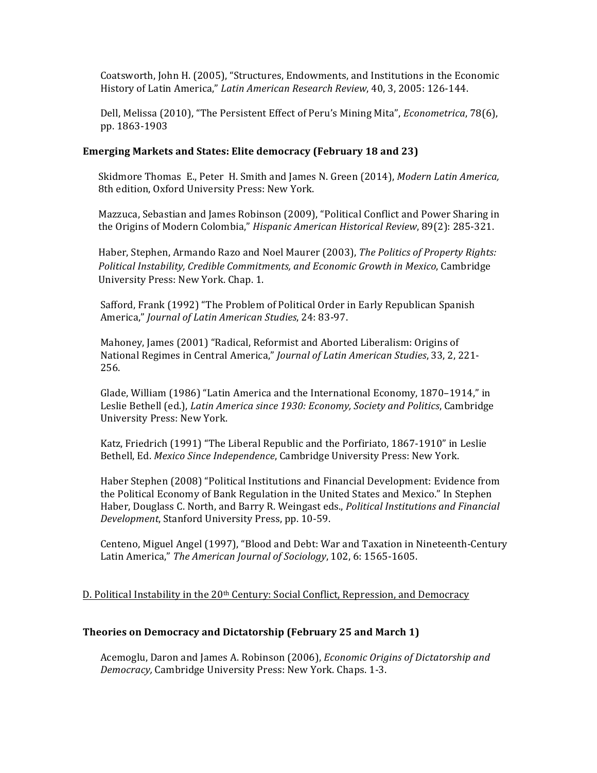Coatsworth, John H. (2005), "Structures, Endowments, and Institutions in the Economic History of Latin America," *Latin American Research Review*, 40, 3, 2005: 126-144.

Dell, Melissa (2010), "The Persistent Effect of Peru's Mining Mita", *Econometrica*, 78(6), pp. 1863-1903

#### **Emerging Markets and States: Elite democracy (February 18 and 23)**

Skidmore Thomas E., Peter H. Smith and James N. Green (2014), *Modern Latin America*, 8th edition, Oxford University Press: New York.

Mazzuca, Sebastian and James Robinson (2009), "Political Conflict and Power Sharing in the Origins of Modern Colombia," *Hispanic American Historical Review*, 89(2): 285-321.

Haber, Stephen, Armando Razo and Noel Maurer (2003), *The Politics of Property Rights: Political Instability, Credible Commitments, and Economic Growth in Mexico, Cambridge* University Press: New York. Chap. 1.

Safford, Frank (1992) "The Problem of Political Order in Early Republican Spanish America," *Journal of Latin American Studies*, 24: 83-97.

Mahoney, James (2001) "Radical, Reformist and Aborted Liberalism: Origins of National Regimes in Central America," *Journal of Latin American Studies*, 33, 2, 221-256.

Glade, William (1986) "Latin America and the International Economy, 1870–1914," in Leslie Bethell (ed.), *Latin America since 1930: Economy, Society and Politics*, Cambridge University Press: New York.

Katz, Friedrich (1991) "The Liberal Republic and the Porfiriato, 1867-1910" in Leslie Bethell, Ed. Mexico Since Independence, Cambridge University Press: New York.

Haber Stephen (2008) "Political Institutions and Financial Development: Evidence from the Political Economy of Bank Regulation in the United States and Mexico." In Stephen Haber, Douglass C. North, and Barry R. Weingast eds., *Political Institutions and Financial Development*, Stanford University Press, pp. 10-59.

Centeno, Miguel Angel (1997), "Blood and Debt: War and Taxation in Nineteenth-Century Latin America," The American Journal of Sociology, 102, 6: 1565-1605.

## D. Political Instability in the  $20<sup>th</sup>$  Century: Social Conflict, Repression, and Democracy

## **Theories on Democracy and Dictatorship (February 25 and March 1)**

Acemoglu, Daron and James A. Robinson (2006), *Economic Origins of Dictatorship and Democracy,* Cambridge University Press: New York. Chaps. 1-3.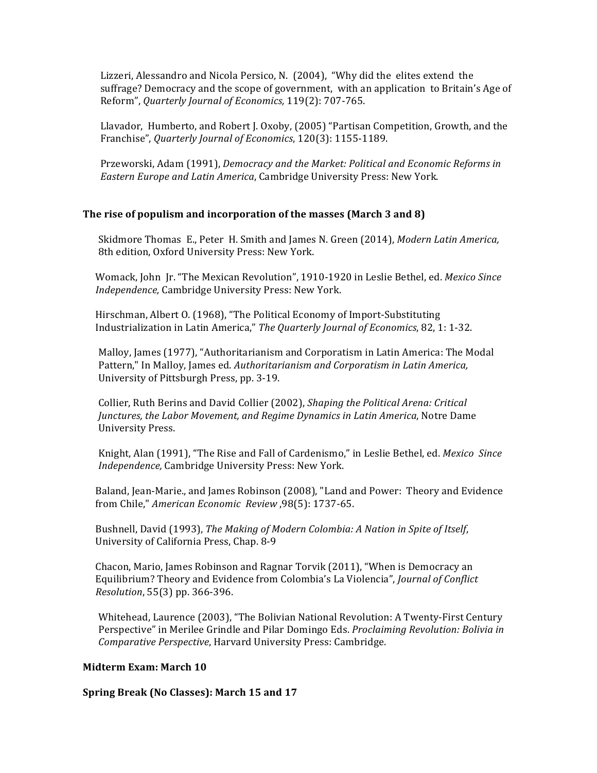Lizzeri, Alessandro and Nicola Persico, N. (2004), "Why did the elites extend the suffrage? Democracy and the scope of government, with an application to Britain's Age of Reform", Quarterly Journal of Economics, 119(2): 707-765.

Llavador, Humberto, and Robert J. Oxoby, (2005) "Partisan Competition, Growth, and the Franchise", Quarterly Journal of Economics, 120(3): 1155-1189.

Przeworski, Adam (1991), *Democracy and the Market: Political and Economic Reforms in Eastern Europe and Latin America*, Cambridge University Press: New York.

## **The rise of populism and incorporation of the masses (March 3 and 8)**

Skidmore Thomas E., Peter H. Smith and James N. Green (2014), *Modern Latin America*, 8th edition, Oxford University Press: New York.

Womack, John Jr. "The Mexican Revolution", 1910-1920 in Leslie Bethel, ed. *Mexico Since* Independence, Cambridge University Press: New York.

Hirschman, Albert O. (1968), "The Political Economy of Import-Substituting Industrialization in Latin America," The Quarterly Journal of Economics, 82, 1: 1-32.

Malloy, James (1977), "Authoritarianism and Corporatism in Latin America: The Modal Pattern," In Malloy, James ed. Authoritarianism and Corporatism in Latin America, University of Pittsburgh Press, pp. 3-19.

Collier, Ruth Berins and David Collier (2002), *Shaping the Political Arena: Critical Junctures, the Labor Movement, and Regime Dynamics in Latin America, Notre Dame* University Press.

Knight, Alan (1991), "The Rise and Fall of Cardenismo," in Leslie Bethel, ed. *Mexico Since Independence,* Cambridge University Press: New York.

Baland, Jean-Marie., and James Robinson (2008), "Land and Power: Theory and Evidence from Chile," *American Economic Review* ,98(5): 1737-65.

Bushnell, David (1993), *The Making of Modern Colombia: A Nation in Spite of Itself*, University of California Press, Chap. 8-9

Chacon, Mario, James Robinson and Ragnar Torvik (2011), "When is Democracy an Equilibrium? Theory and Evidence from Colombia's La Violencia", *Journal of Conflict Resolution*, 55(3) pp. 366-396.

Whitehead, Laurence (2003), "The Bolivian National Revolution: A Twenty-First Century Perspective" in Merilee Grindle and Pilar Domingo Eds. *Proclaiming Revolution: Bolivia in Comparative Perspective,* Harvard University Press: Cambridge.

## **Midterm Exam: March 10**

**Spring Break (No Classes): March 15 and 17**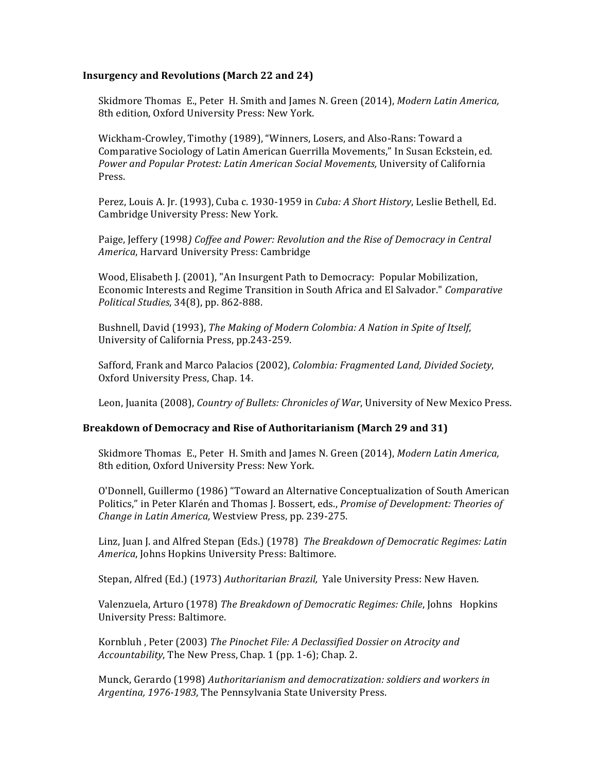# **Insurgency and Revolutions (March 22 and 24)**

Skidmore Thomas E., Peter H. Smith and James N. Green (2014), *Modern Latin America*, 8th edition, Oxford University Press: New York.

Wickham-Crowley, Timothy (1989), "Winners, Losers, and Also-Rans: Toward a Comparative Sociology of Latin American Guerrilla Movements," In Susan Eckstein, ed. Power and Popular Protest: Latin American Social Movements, University of California Press.

Perez, Louis A. Jr. (1993), Cuba c. 1930-1959 in *Cuba: A Short History*, Leslie Bethell, Ed. Cambridge University Press: New York.

Paige, Jeffery (1998) *Coffee and Power: Revolution and the Rise of Democracy in Central* America, Harvard University Press: Cambridge

Wood, Elisabeth J. (2001), "An Insurgent Path to Democracy: Popular Mobilization, Economic Interests and Regime Transition in South Africa and El Salvador." *Comparative Political Studies*, 34(8), pp. 862-888.

Bushnell, David (1993), *The Making of Modern Colombia: A Nation in Spite of Itself*, University of California Press, pp.243-259.

Safford, Frank and Marco Palacios (2002), *Colombia: Fragmented Land, Divided Society*, Oxford University Press, Chap. 14.

Leon, Juanita (2008), *Country of Bullets: Chronicles of War*, University of New Mexico Press.

#### **Breakdown of Democracy and Rise of Authoritarianism (March 29 and 31)**

Skidmore Thomas E., Peter H. Smith and James N. Green (2014), *Modern Latin America*, 8th edition, Oxford University Press: New York.

O'Donnell, Guillermo (1986) "Toward an Alternative Conceptualization of South American Politics," in Peter Klarén and Thomas J. Bossert, eds., *Promise of Development: Theories of Change in Latin America, Westview Press, pp. 239-275.* 

Linz, Juan J. and Alfred Stepan (Eds.) (1978) *The Breakdown of Democratic Regimes: Latin America*, Johns Hopkins University Press: Baltimore.

Stepan, Alfred (Ed.) (1973) *Authoritarian Brazil, Yale University Press: New Haven.* 

Valenzuela, Arturo (1978) The Breakdown of Democratic Regimes: Chile, Johns Hopkins University Press: Baltimore.

Kornbluh , Peter (2003) *The Pinochet File: A Declassified Dossier on Atrocity and Accountability*, The New Press, Chap. 1 (pp. 1-6); Chap. 2.

Munck, Gerardo (1998) Authoritarianism and democratization: soldiers and workers in Argentina, 1976-1983, The Pennsylvania State University Press.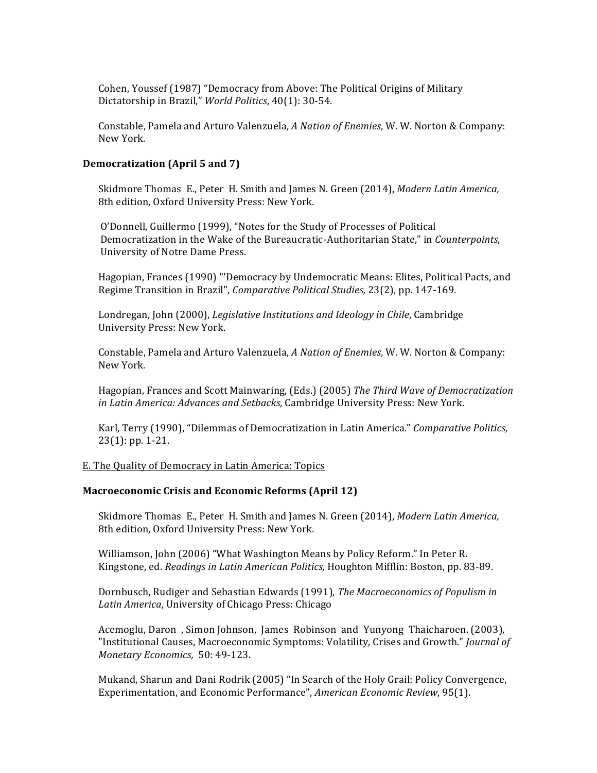Cohen, Youssef (1987) "Democracy from Above: The Political Origins of Military Dictatorship in Brazil," *World Politics*, 40(1): 30-54.

Constable, Pamela and Arturo Valenzuela, *A Nation of Enemies*, W. W. Norton & Company: New York.

#### **Democratization (April 5** and 7)

Skidmore Thomas E., Peter H. Smith and James N. Green (2014), *Modern Latin America*, 8th edition, Oxford University Press: New York.

O'Donnell, Guillermo (1999), "Notes for the Study of Processes of Political Democratization in the Wake of the Bureaucratic-Authoritarian State," in *Counterpoints*, University of Notre Dame Press.

Hagopian, Frances (1990) "'Democracy by Undemocratic Means: Elites, Political Pacts, and Regime Transition in Brazil", *Comparative Political Studies*, 23(2), pp. 147-169.

Londregan, John (2000), *Legislative Institutions and Ideology in Chile*, Cambridge University Press: New York.

Constable, Pamela and Arturo Valenzuela, *A Nation of Enemies*, W. W. Norton & Company: New York.

Hagopian, Frances and Scott Mainwaring, (Eds.) (2005) *The Third Wave of Democratization in Latin America: Advances and Setbacks, Cambridge University Press: New York.* 

Karl, Terry (1990), "Dilemmas of Democratization in Latin America." Comparative Politics,  $23(1)$ : pp. 1-21.

#### E. The Quality of Democracy in Latin America: Topics

#### **Macroeconomic Crisis and Economic Reforms (April 12)**

Skidmore Thomas E., Peter H. Smith and James N. Green (2014), *Modern Latin America*, 8th edition, Oxford University Press: New York.

Williamson, John (2006) "What Washington Means by Policy Reform." In Peter R. Kingstone, ed. *Readings in Latin American Politics*, Houghton Mifflin: Boston, pp. 83-89.

Dornbusch, Rudiger and Sebastian Edwards (1991), *The Macroeconomics of Populism in* Latin America, University of Chicago Press: Chicago

Acemoglu, Daron, Simon Johnson, James Robinson and Yunyong Thaicharoen. (2003), "Institutional Causes, Macroeconomic Symptoms: Volatility, Crises and Growth." *Journal of Monetary Economics,* 50: 49-123.

Mukand, Sharun and Dani Rodrik (2005) "In Search of the Holy Grail: Policy Convergence, Experimentation, and Economic Performance", *American Economic Review*, 95(1).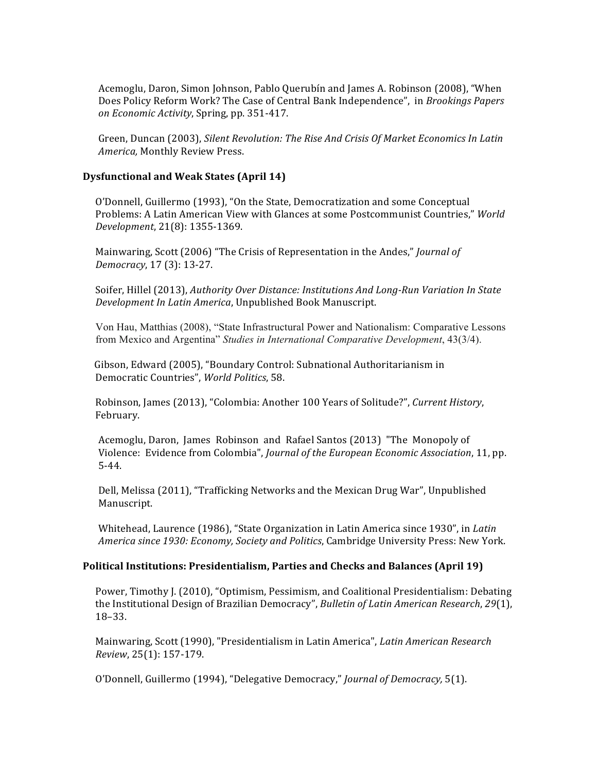Acemoglu, Daron, Simon Johnson, Pablo Querubín and James A. Robinson (2008), "When Does Policy Reform Work? The Case of Central Bank Independence", in *Brookings Papers on Economic Activity*, Spring, pp. 351-417.

Green, Duncan (2003), Silent Revolution: The Rise And Crisis Of Market Economics In Latin *America*, Monthly Review Press.

## **Dysfunctional and Weak States (April 14)**

O'Donnell, Guillermo (1993), "On the State, Democratization and some Conceptual Problems: A Latin American View with Glances at some Postcommunist Countries," *World Development*, 21(8): 1355-1369.

Mainwaring, Scott (2006) "The Crisis of Representation in the Andes," *Journal of Democracy*, 17 (3): 13-27.

Soifer, Hillel (2013), Authority Over Distance: Institutions And Long-Run Variation In State *Development In Latin America*, Unpublished Book Manuscript.

Von Hau, Matthias (2008), "State Infrastructural Power and Nationalism: Comparative Lessons from Mexico and Argentina" *Studies in International Comparative Development*, 43(3/4).

Gibson, Edward (2005), "Boundary Control: Subnational Authoritarianism in Democratic Countries", *World Politics*, 58.

Robinson, James (2013), "Colombia: Another 100 Years of Solitude?", Current History, February.

Acemoglu, Daron, James Robinson and Rafael Santos (2013) "The Monopoly of Violence: Evidence from Colombia", *Journal of the European Economic Association*, 11, pp. 5-44.

Dell, Melissa (2011), "Trafficking Networks and the Mexican Drug War", Unpublished Manuscript.

Whitehead, Laurence (1986), "State Organization in Latin America since 1930", in *Latin America since 1930: Economy, Society and Politics, Cambridge University Press: New York.* 

## **Political Institutions: Presidentialism, Parties and Checks and Balances (April 19)**

Power, Timothy J. (2010), "Optimism, Pessimism, and Coalitional Presidentialism: Debating the Institutional Design of Brazilian Democracy", *Bulletin of Latin American Research*, 29(1), 18–33.

Mainwaring, Scott (1990), "Presidentialism in Latin America", *Latin American Research Review*, 25(1): 157-179.

O'Donnell, Guillermo (1994), "Delegative Democracy," *Journal of Democracy,* 5(1).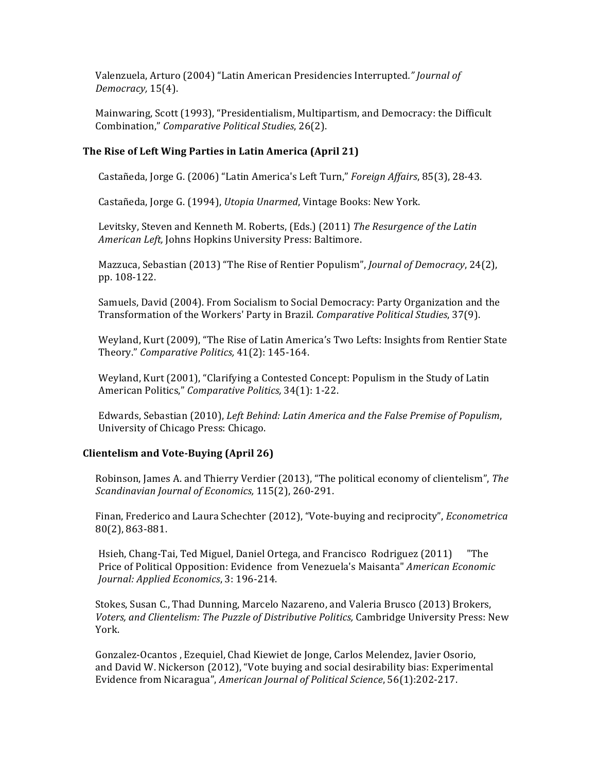Valenzuela, Arturo (2004) "Latin American Presidencies Interrupted." Journal of *Democracy,* 15(4).

Mainwaring, Scott (1993), "Presidentialism, Multipartism, and Democracy: the Difficult Combination," *Comparative Political Studies*, 26(2).

# **The Rise of Left Wing Parties in Latin America (April 21)**

Castañeda, Jorge G. (2006) "Latin America's Left Turn," *Foreign Affairs*, 85(3), 28-43.

Castañeda, Jorge G. (1994), *Utopia Unarmed*, Vintage Books: New York.

Levitsky, Steven and Kenneth M. Roberts, (Eds.) (2011) *The Resurgence of the Latin American Left,* Johns Hopkins University Press: Baltimore.

Mazzuca, Sebastian (2013) "The Rise of Rentier Populism", *Journal of Democracy*, 24(2), pp. 108-122.

Samuels, David (2004). From Socialism to Social Democracy: Party Organization and the Transformation of the Workers' Party in Brazil. *Comparative Political Studies*, 37(9).

Weyland, Kurt (2009), "The Rise of Latin America's Two Lefts: Insights from Rentier State Theory." *Comparative Politics,* 41(2): 145-164.

Weyland, Kurt (2001), "Clarifying a Contested Concept: Populism in the Study of Latin American Politics," Comparative Politics, 34(1): 1-22.

Edwards, Sebastian (2010), *Left Behind: Latin America and the False Premise of Populism*, University of Chicago Press: Chicago.

## **Clientelism and Vote-Buying (April 26)**

Robinson, James A. and Thierry Verdier (2013), "The political economy of clientelism", The *Scandinavian Journal of Economics,* 115(2), 260-291.

Finan, Frederico and Laura Schechter (2012), "Vote-buying and reciprocity", *Econometrica* 80(2), 863-881.

Hsieh, Chang-Tai, Ted Miguel, Daniel Ortega, and Francisco Rodriguez (2011) The Price of Political Opposition: Evidence from Venezuela's Maisanta" *American Economic Journal: Applied Economics*, 3: 196-214.

Stokes, Susan C., Thad Dunning, Marcelo Nazareno, and Valeria Brusco (2013) Brokers, Voters, and Clientelism: The Puzzle of Distributive Politics, Cambridge University Press: New York.

Gonzalez-Ocantos, Ezequiel, Chad Kiewiet de Jonge, Carlos Melendez, Javier Osorio, and David W. Nickerson  $(2012)$ , "Vote buying and social desirability bias: Experimental Evidence from Nicaragua", *American Journal of Political Science*, 56(1):202-217.